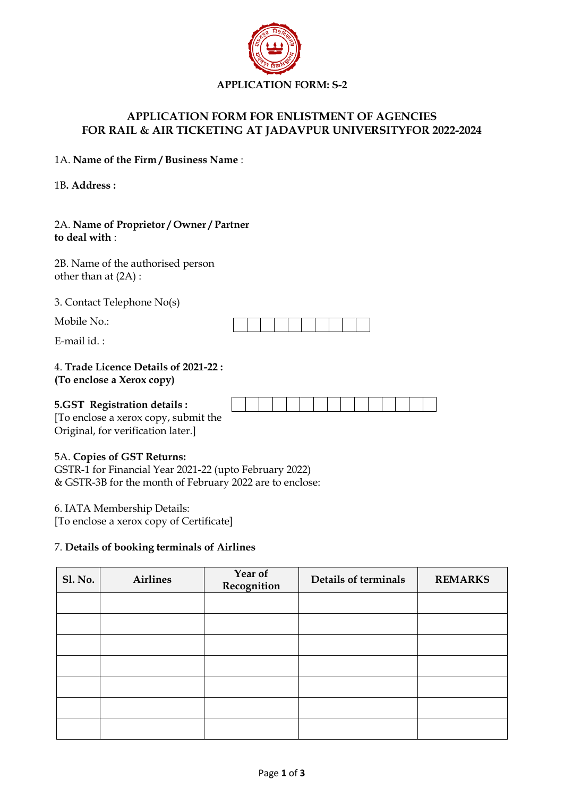

# **APPLICATION FORM FOR ENLISTMENT OF AGENCIES FOR RAIL & AIR TICKETING AT JADAVPUR UNIVERSITYFOR 2022-2024**

1A. **Name of the Firm / Business Name** :

1B**. Address :**

## 2A. **Name of Proprietor / Owner / Partner to deal with** :

2B. Name of the authorised person other than at (2A) :

3. Contact Telephone No(s)

Mobile No.:

E-mail id.  $\cdot$ 

#### 4. **Trade Licence Details of 2021-22 : (To enclose a Xerox copy)**

#### **5.GST Registration details :**



[To enclose a xerox copy, submit the Original, for verification later.]

# 5A. **Copies of GST Returns:**

GSTR-1 for Financial Year 2021-22 (upto February 2022) & GSTR-3B for the month of February 2022 are to enclose:

6. IATA Membership Details:

[To enclose a xerox copy of Certificate]

#### 7. **Details of booking terminals of Airlines**

| <b>Sl. No.</b> | <b>Airlines</b> | Year of<br>Recognition | Details of terminals | <b>REMARKS</b> |
|----------------|-----------------|------------------------|----------------------|----------------|
|                |                 |                        |                      |                |
|                |                 |                        |                      |                |
|                |                 |                        |                      |                |
|                |                 |                        |                      |                |
|                |                 |                        |                      |                |
|                |                 |                        |                      |                |
|                |                 |                        |                      |                |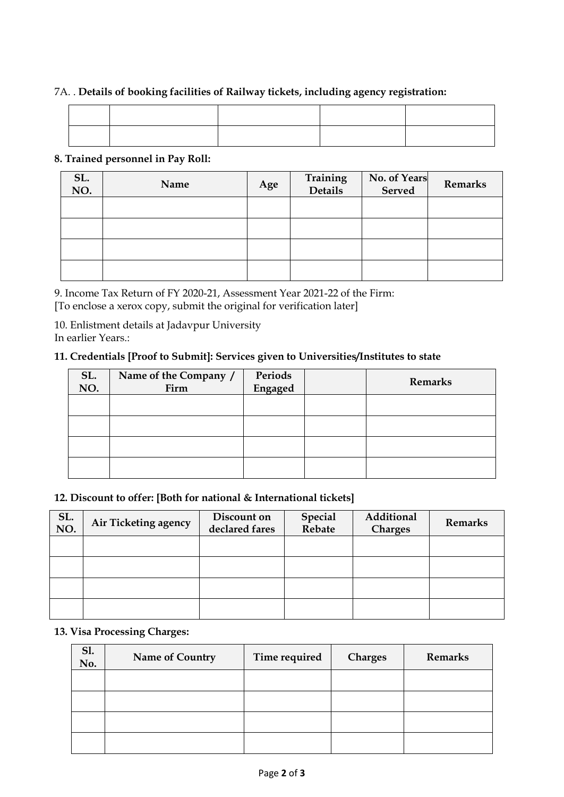# 7A. . **Details of booking facilities of Railway tickets, including agency registration:**

## **8. Trained personnel in Pay Roll:**

| SL.<br>NO. | Name | Age | Training<br>Details | No. of Years<br>Served | Remarks |
|------------|------|-----|---------------------|------------------------|---------|
|            |      |     |                     |                        |         |
|            |      |     |                     |                        |         |
|            |      |     |                     |                        |         |
|            |      |     |                     |                        |         |

9. Income Tax Return of FY 2020-21, Assessment Year 2021-22 of the Firm: [To enclose a xerox copy, submit the original for verification later]

10. Enlistment details at Jadavpur University In earlier Years.:

## **11. Credentials [Proof to Submit]: Services given to Universities/Institutes to state**

| SL.<br>NO. | Name of the Company /<br>Firm | Periods<br>Engaged | <b>Remarks</b> |
|------------|-------------------------------|--------------------|----------------|
|            |                               |                    |                |
|            |                               |                    |                |
|            |                               |                    |                |
|            |                               |                    |                |

## **12. Discount to offer: [Both for national & International tickets]**

| SL.<br>NO. | Air Ticketing agency | Discount on<br>declared fares | Special<br>Rebate | Additional<br><b>Charges</b> | <b>Remarks</b> |
|------------|----------------------|-------------------------------|-------------------|------------------------------|----------------|
|            |                      |                               |                   |                              |                |
|            |                      |                               |                   |                              |                |
|            |                      |                               |                   |                              |                |
|            |                      |                               |                   |                              |                |

# **13. Visa Processing Charges:**

| Sl.<br>No. | Name of Country | Time required | <b>Charges</b> | <b>Remarks</b> |
|------------|-----------------|---------------|----------------|----------------|
|            |                 |               |                |                |
|            |                 |               |                |                |
|            |                 |               |                |                |
|            |                 |               |                |                |